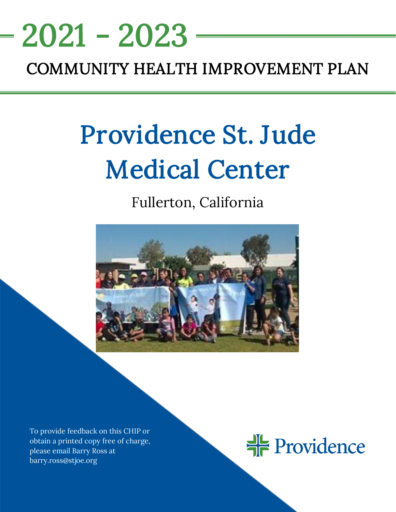# <u>NEEDS ASSESSMENT ASSESSMENT ASSESS</u> COMMUNITY HEALTH IMPROVEMENT PLAN 2021 - 2023

# Providence St. Jude Medical Center

# Fullerton, California



To provide feedback on this CHIP or obtain a printed copy free of charge, please email Barry Ross at barry.ross@stjoe.org

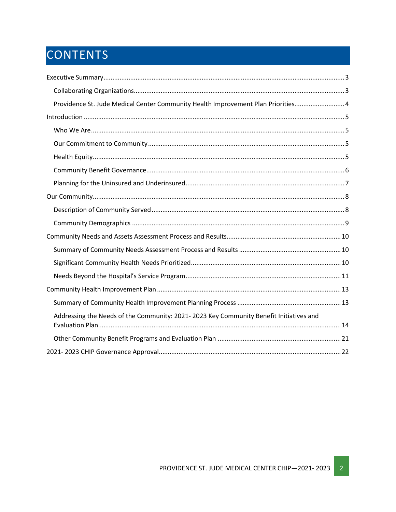# CONTENTS

| Providence St. Jude Medical Center Community Health Improvement Plan Priorities 4      |
|----------------------------------------------------------------------------------------|
|                                                                                        |
|                                                                                        |
|                                                                                        |
|                                                                                        |
|                                                                                        |
|                                                                                        |
|                                                                                        |
|                                                                                        |
|                                                                                        |
|                                                                                        |
|                                                                                        |
|                                                                                        |
|                                                                                        |
|                                                                                        |
|                                                                                        |
| Addressing the Needs of the Community: 2021-2023 Key Community Benefit Initiatives and |
|                                                                                        |
|                                                                                        |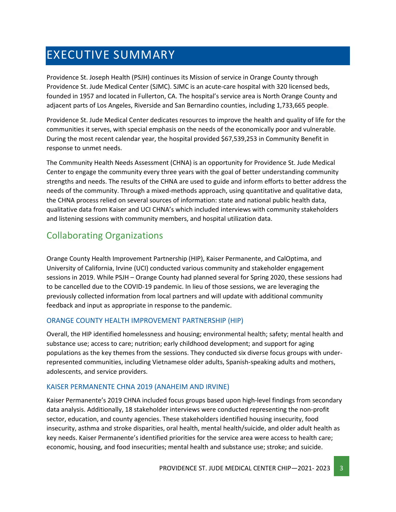# <span id="page-2-0"></span>EXECUTIVE SUMMARY

Providence St. Joseph Health (PSJH) continues its Mission of service in Orange County through Providence St. Jude Medical Center (SJMC). SJMC is an acute-care hospital with 320 licensed beds, founded in 1957 and located in Fullerton, CA. The hospital's service area is North Orange County and adjacent parts of Los Angeles, Riverside and San Bernardino counties, including 1,733,665 people.

Providence St. Jude Medical Center dedicates resources to improve the health and quality of life for the communities it serves, with special emphasis on the needs of the economically poor and vulnerable. During the most recent calendar year, the hospital provided \$67,539,253 in Community Benefit in response to unmet needs.

The Community Health Needs Assessment (CHNA) is an opportunity for Providence St. Jude Medical Center to engage the community every three years with the goal of better understanding community strengths and needs. The results of the CHNA are used to guide and inform efforts to better address the needs of the community. Through a mixed-methods approach, using quantitative and qualitative data, the CHNA process relied on several sources of information: state and national public health data, qualitative data from Kaiser and UCI CHNA's which included interviews with community stakeholders and listening sessions with community members, and hospital utilization data.

# <span id="page-2-1"></span>Collaborating Organizations

Orange County Health Improvement Partnership (HIP), Kaiser Permanente, and CalOptima, and University of California, Irvine (UCI) conducted various community and stakeholder engagement sessions in 2019. While PSJH – Orange County had planned several for Spring 2020, these sessions had to be cancelled due to the COVID-19 pandemic. In lieu of those sessions, we are leveraging the previously collected information from local partners and will update with additional community feedback and input as appropriate in response to the pandemic.

#### ORANGE COUNTY HEALTH IMPROVEMENT PARTNERSHIP (HIP)

Overall, the HIP identified homelessness and housing; environmental health; safety; mental health and substance use; access to care; nutrition; early childhood development; and support for aging populations as the key themes from the sessions. They conducted six diverse focus groups with underrepresented communities, including Vietnamese older adults, Spanish-speaking adults and mothers, adolescents, and service providers.

#### KAISER PERMANENTE CHNA 2019 (ANAHEIM AND IRVINE)

Kaiser Permanente's 2019 CHNA included focus groups based upon high-level findings from secondary data analysis. Additionally, 18 stakeholder interviews were conducted representing the non-profit sector, education, and county agencies. These stakeholders identified housing insecurity, food insecurity, asthma and stroke disparities, oral health, mental health/suicide, and older adult health as key needs. Kaiser Permanente's identified priorities for the service area were access to health care; economic, housing, and food insecurities; mental health and substance use; stroke; and suicide.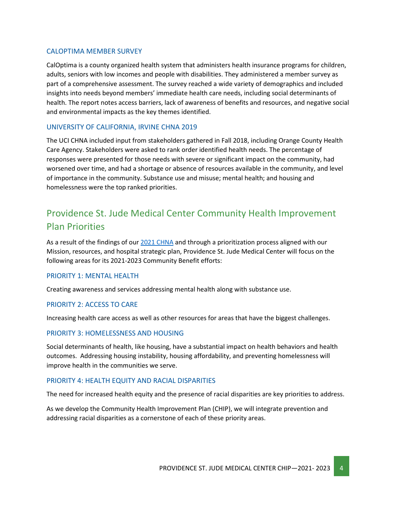#### CALOPTIMA MEMBER SURVEY

CalOptima is a county organized health system that administers health insurance programs for children, adults, seniors with low incomes and people with disabilities. They administered a member survey as part of a comprehensive assessment. The survey reached a wide variety of demographics and included insights into needs beyond members' immediate health care needs, including social determinants of health. The report notes access barriers, lack of awareness of benefits and resources, and negative social and environmental impacts as the key themes identified.

#### UNIVERSITY OF CALIFORNIA, IRVINE CHNA 2019

The UCI CHNA included input from stakeholders gathered in Fall 2018, including Orange County Health Care Agency. Stakeholders were asked to rank order identified health needs. The percentage of responses were presented for those needs with severe or significant impact on the community, had worsened over time, and had a shortage or absence of resources available in the community, and level of importance in the community. Substance use and misuse; mental health; and housing and homelessness were the top ranked priorities.

# <span id="page-3-0"></span>Providence St. Jude Medical Center Community Health Improvement Plan Priorities

As a result of the findings of our 2021 [CHNA](https://www.providence.org/about/annual-report/chna-and-chip-reports) and through a prioritization process aligned with our Mission, resources, and hospital strategic plan, Providence St. Jude Medical Center will focus on the following areas for its 2021-2023 Community Benefit efforts:

#### PRIORITY 1: MENTAL HEALTH

Creating awareness and services addressing mental health along with substance use.

#### PRIORITY 2: ACCESS TO CARE

Increasing health care access as well as other resources for areas that have the biggest challenges.

#### PRIORITY 3: HOMELESSNESS AND HOUSING

Social determinants of health, like housing, have a substantial impact on health behaviors and health outcomes. Addressing housing instability, housing affordability, and preventing homelessness will improve health in the communities we serve.

#### PRIORITY 4: HEALTH EQUITY AND RACIAL DISPARITIES

The need for increased health equity and the presence of racial disparities are key priorities to address.

As we develop the Community Health Improvement Plan (CHIP), we will integrate prevention and addressing racial disparities as a cornerstone of each of these priority areas.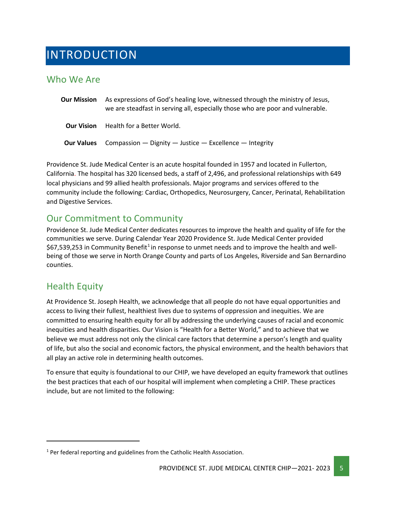# <span id="page-4-0"></span>INTRODUCTION

### <span id="page-4-1"></span>Who We Are

| <b>Our Mission</b> | As expressions of God's healing love, witnessed through the ministry of Jesus,<br>we are steadfast in serving all, especially those who are poor and vulnerable. |
|--------------------|------------------------------------------------------------------------------------------------------------------------------------------------------------------|
| <b>Our Vision</b>  | Health for a Better World.                                                                                                                                       |
|                    | <b>Our Values</b> Compassion $-$ Dignity $-$ Justice $-$ Excellence $-$ Integrity                                                                                |

Providence St. Jude Medical Center is an acute hospital founded in 1957 and located in Fullerton, California. The hospital has 320 licensed beds, a staff of 2,496, and professional relationships with 649 local physicians and 99 allied health professionals. Major programs and services offered to the community include the following: Cardiac, Orthopedics, Neurosurgery, Cancer, Perinatal, Rehabilitation and Digestive Services.

# <span id="page-4-2"></span>Our Commitment to Community

Providence St. Jude Medical Center dedicates resources to improve the health and quality of life for the communities we serve. During Calendar Year 2020 Providence St. Jude Medical Center provided  $$67,539,253$  in Community Benefit<sup>[1](#page-4-4)</sup> in response to unmet needs and to improve the health and wellbeing of those we serve in North Orange County and parts of Los Angeles, Riverside and San Bernardino counties.

### <span id="page-4-3"></span>Health Equity

At Providence St. Joseph Health, we acknowledge that all people do not have equal opportunities and access to living their fullest, healthiest lives due to systems of oppression and inequities. We are committed to ensuring health equity for all by addressing the underlying causes of racial and economic inequities and health disparities. Our Vision is "Health for a Better World," and to achieve that we believe we must address not only the clinical care factors that determine a person's length and quality of life, but also the social and economic factors, the physical environment, and the health behaviors that all play an active role in determining health outcomes.

To ensure that equity is foundational to our CHIP, we have developed an equity framework that outlines the best practices that each of our hospital will implement when completing a CHIP. These practices include, but are not limited to the following:

<span id="page-4-4"></span> $1$  Per federal reporting and guidelines from the Catholic Health Association.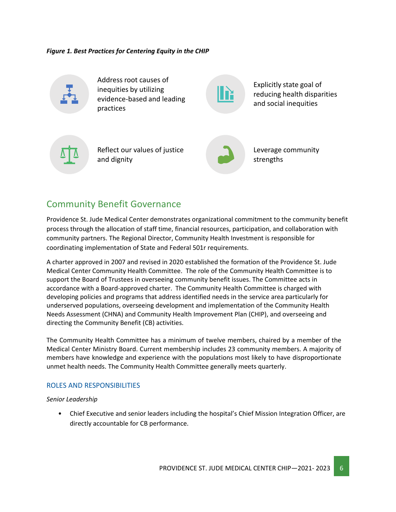*Figure 1. Best Practices for Centering Equity in the CHIP*



Address root causes of inequities by utilizing evidence-based and leading practices

Explicitly state goal of reducing health disparities and social inequities



Reflect our values of justice and dignity



Leverage community strengths

### <span id="page-5-0"></span>Community Benefit Governance

Providence St. Jude Medical Center demonstrates organizational commitment to the community benefit process through the allocation of staff time, financial resources, participation, and collaboration with community partners. The Regional Director, Community Health Investment is responsible for coordinating implementation of State and Federal 501r requirements.

A charter approved in 2007 and revised in 2020 established the formation of the Providence St. Jude Medical Center Community Health Committee. The role of the Community Health Committee is to support the Board of Trustees in overseeing community benefit issues. The Committee acts in accordance with a Board-approved charter. The Community Health Committee is charged with developing policies and programs that address identified needs in the service area particularly for underserved populations, overseeing development and implementation of the Community Health Needs Assessment (CHNA) and Community Health Improvement Plan (CHIP), and overseeing and directing the Community Benefit (CB) activities.

The Community Health Committee has a minimum of twelve members, chaired by a member of the Medical Center Ministry Board. Current membership includes 23 community members. A majority of members have knowledge and experience with the populations most likely to have disproportionate unmet health needs. The Community Health Committee generally meets quarterly.

#### ROLES AND RESPONSIBILITIES

*Senior Leadership*

• Chief Executive and senior leaders including the hospital's Chief Mission Integration Officer, are directly accountable for CB performance.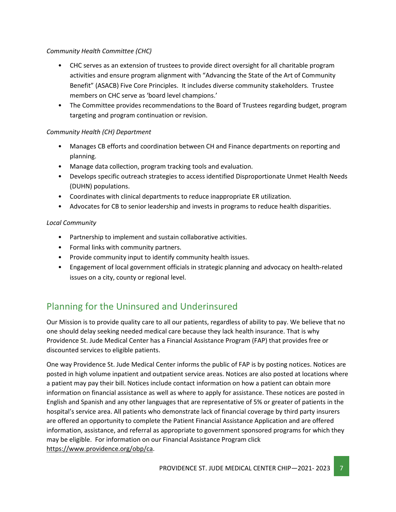#### *Community Health Committee (CHC)*

- CHC serves as an extension of trustees to provide direct oversight for all charitable program activities and ensure program alignment with "Advancing the State of the Art of Community Benefit" (ASACB) Five Core Principles. It includes diverse community stakeholders. Trustee members on CHC serve as 'board level champions.'
- The Committee provides recommendations to the Board of Trustees regarding budget, program targeting and program continuation or revision.

#### *Community Health (CH) Department*

- Manages CB efforts and coordination between CH and Finance departments on reporting and planning.
- Manage data collection, program tracking tools and evaluation.
- Develops specific outreach strategies to access identified Disproportionate Unmet Health Needs (DUHN) populations.
- Coordinates with clinical departments to reduce inappropriate ER utilization.
- Advocates for CB to senior leadership and invests in programs to reduce health disparities.

#### *Local Community*

- Partnership to implement and sustain collaborative activities.
- Formal links with community partners.
- Provide community input to identify community health issues.
- Engagement of local government officials in strategic planning and advocacy on health-related issues on a city, county or regional level.

# <span id="page-6-0"></span>Planning for the Uninsured and Underinsured

Our Mission is to provide quality care to all our patients, regardless of ability to pay. We believe that no one should delay seeking needed medical care because they lack health insurance. That is why Providence St. Jude Medical Center has a Financial Assistance Program (FAP) that provides free or discounted services to eligible patients.

One way Providence St. Jude Medical Center informs the public of FAP is by posting notices. Notices are posted in high volume inpatient and outpatient service areas. Notices are also posted at locations where a patient may pay their bill. Notices include contact information on how a patient can obtain more information on financial assistance as well as where to apply for assistance. These notices are posted in English and Spanish and any other languages that are representative of 5% or greater of patients in the hospital's service area. All patients who demonstrate lack of financial coverage by third party insurers are offered an opportunity to complete the Patient Financial Assistance Application and are offered information, assistance, and referral as appropriate to government sponsored programs for which they may be eligible. For information on our Financial Assistance Program click [https://www.providence.org/obp/ca.](https://www.providence.org/obp/ca)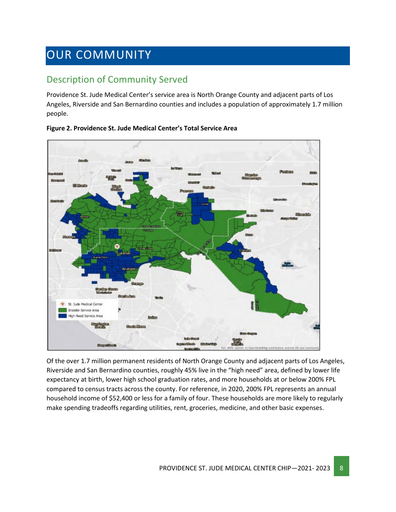# <span id="page-7-0"></span>OUR COMMUNITY

# <span id="page-7-1"></span>Description of Community Served

Providence St. Jude Medical Center's service area is North Orange County and adjacent parts of Los Angeles, Riverside and San Bernardino counties and includes a population of approximately 1.7 million people.



**Figure 2. Providence St. Jude Medical Center's Total Service Area**

Of the over 1.7 million permanent residents of North Orange County and adjacent parts of Los Angeles, Riverside and San Bernardino counties, roughly 45% live in the "high need" area, defined by lower life expectancy at birth, lower high school graduation rates, and more households at or below 200% FPL compared to census tracts across the county. For reference, in 2020, 200% FPL represents an annual household income of \$52,400 or less for a family of four. These households are more likely to regularly make spending tradeoffs regarding utilities, rent, groceries, medicine, and other basic expenses.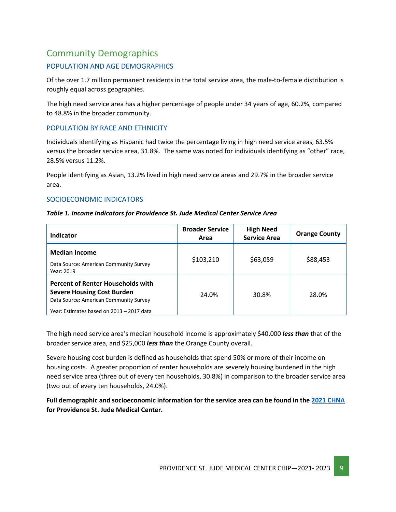# <span id="page-8-0"></span>Community Demographics

#### POPULATION AND AGE DEMOGRAPHICS

Of the over 1.7 million permanent residents in the total service area, the male-to-female distribution is roughly equal across geographies.

The high need service area has a higher percentage of people under 34 years of age, 60.2%, compared to 48.8% in the broader community.

#### POPULATION BY RACE AND ETHNICITY

Individuals identifying as Hispanic had twice the percentage living in high need service areas, 63.5% versus the broader service area, 31.8%. The same was noted for individuals identifying as "other" race, 28.5% versus 11.2%.

People identifying as Asian, 13.2% lived in high need service areas and 29.7% in the broader service area.

#### SOCIOECONOMIC INDICATORS

#### *Table 1. Income Indicators for Providence St. Jude Medical Center Service Area*

| Indicator                                                                                                                                                            | <b>Broader Service</b><br>Area | <b>High Need</b><br><b>Service Area</b> | <b>Orange County</b> |
|----------------------------------------------------------------------------------------------------------------------------------------------------------------------|--------------------------------|-----------------------------------------|----------------------|
| <b>Median Income</b><br>Data Source: American Community Survey<br>Year: 2019                                                                                         | \$103,210                      | \$63,059                                | \$88,453             |
| <b>Percent of Renter Households with</b><br><b>Severe Housing Cost Burden</b><br>Data Source: American Community Survey<br>Year: Estimates based on 2013 - 2017 data | 24.0%                          | 30.8%                                   | 28.0%                |

The high need service area's median household income is approximately \$40,000 *less than* that of the broader service area, and \$25,000 *less than* the Orange County overall.

Severe housing cost burden is defined as households that spend 50% or more of their income on housing costs. A greater proportion of renter households are severely housing burdened in the high need service area (three out of every ten households, 30.8%) in comparison to the broader service area (two out of every ten households, 24.0%).

**Full demographic and socioeconomic information for the service area can be found in the 2021 [CHNA](https://www.providence.org/about/annual-report/chna-and-chip-reports) for Providence St. Jude Medical Center.**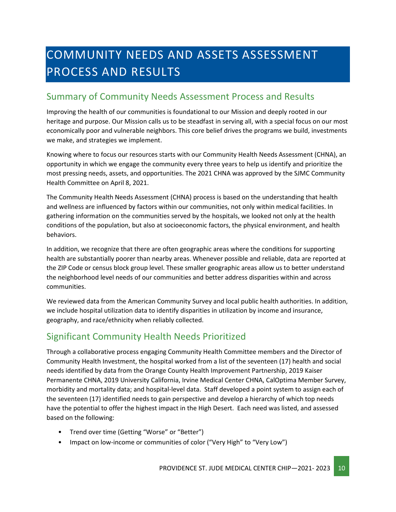# <span id="page-9-0"></span>COMMUNITY NEEDS AND ASSETS ASSESSMENT PROCESS AND RESULTS

### <span id="page-9-1"></span>Summary of Community Needs Assessment Process and Results

Improving the health of our communities is foundational to our Mission and deeply rooted in our heritage and purpose. Our Mission calls us to be steadfast in serving all, with a special focus on our most economically poor and vulnerable neighbors. This core belief drives the programs we build, investments we make, and strategies we implement.

Knowing where to focus our resources starts with our Community Health Needs Assessment (CHNA), an opportunity in which we engage the community every three years to help us identify and prioritize the most pressing needs, assets, and opportunities. The 2021 CHNA was approved by the SJMC Community Health Committee on April 8, 2021.

The Community Health Needs Assessment (CHNA) process is based on the understanding that health and wellness are influenced by factors within our communities, not only within medical facilities. In gathering information on the communities served by the hospitals, we looked not only at the health conditions of the population, but also at socioeconomic factors, the physical environment, and health behaviors.

In addition, we recognize that there are often geographic areas where the conditions for supporting health are substantially poorer than nearby areas. Whenever possible and reliable, data are reported at the ZIP Code or census block group level. These smaller geographic areas allow us to better understand the neighborhood level needs of our communities and better address disparities within and across communities.

We reviewed data from the American Community Survey and local public health authorities. In addition, we include hospital utilization data to identify disparities in utilization by income and insurance, geography, and race/ethnicity when reliably collected.

# <span id="page-9-2"></span>Significant Community Health Needs Prioritized

Through a collaborative process engaging Community Health Committee members and the Director of Community Health Investment, the hospital worked from a list of the seventeen (17) health and social needs identified by data from the Orange County Health Improvement Partnership, 2019 Kaiser Permanente CHNA, 2019 University California, Irvine Medical Center CHNA, CalOptima Member Survey, morbidity and mortality data; and hospital-level data. Staff developed a point system to assign each of the seventeen (17) identified needs to gain perspective and develop a hierarchy of which top needs have the potential to offer the highest impact in the High Desert. Each need was listed, and assessed based on the following:

- Trend over time (Getting "Worse" or "Better")
- Impact on low-income or communities of color ("Very High" to "Very Low")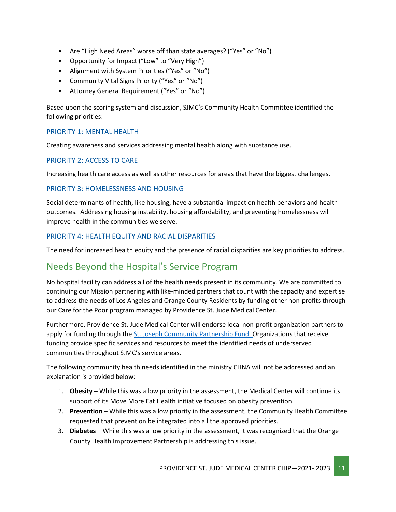- Are "High Need Areas" worse off than state averages? ("Yes" or "No")
- Opportunity for Impact ("Low" to "Very High")
- Alignment with System Priorities ("Yes" or "No")
- Community Vital Signs Priority ("Yes" or "No")
- Attorney General Requirement ("Yes" or "No")

Based upon the scoring system and discussion, SJMC's Community Health Committee identified the following priorities:

#### PRIORITY 1: MENTAL HEALTH

Creating awareness and services addressing mental health along with substance use.

#### PRIORITY 2: ACCESS TO CARE

Increasing health care access as well as other resources for areas that have the biggest challenges.

#### PRIORITY 3: HOMELESSNESS AND HOUSING

Social determinants of health, like housing, have a substantial impact on health behaviors and health outcomes. Addressing housing instability, housing affordability, and preventing homelessness will improve health in the communities we serve.

#### PRIORITY 4: HEALTH EQUITY AND RACIAL DISPARITIES

The need for increased health equity and the presence of racial disparities are key priorities to address.

### <span id="page-10-0"></span>Needs Beyond the Hospital's Service Program

No hospital facility can address all of the health needs present in its community. We are committed to continuing our Mission partnering with like-minded partners that count with the capacity and expertise to address the needs of Los Angeles and Orange County Residents by funding other non-profits through our Care for the Poor program managed by Providence St. Jude Medical Center.

Furthermore, Providence St. Jude Medical Center will endorse local non-profit organization partners to apply for funding through th[e St. Joseph Community Partnership Fund. O](http://www.stjhs.org/SJH-Programs/SJH-Community-Partnership-Fund.aspx)rganizations that receive funding provide specific services and resources to meet the identified needs of underserved communities throughout SJMC's service areas.

The following community health needs identified in the ministry CHNA will not be addressed and an explanation is provided below:

- 1. **Obesity** While this was a low priority in the assessment, the Medical Center will continue its support of its Move More Eat Health initiative focused on obesity prevention.
- 2. **Prevention** While this was a low priority in the assessment, the Community Health Committee requested that prevention be integrated into all the approved priorities.
- 3. **Diabetes** While this was a low priority in the assessment, it was recognized that the Orange County Health Improvement Partnership is addressing this issue.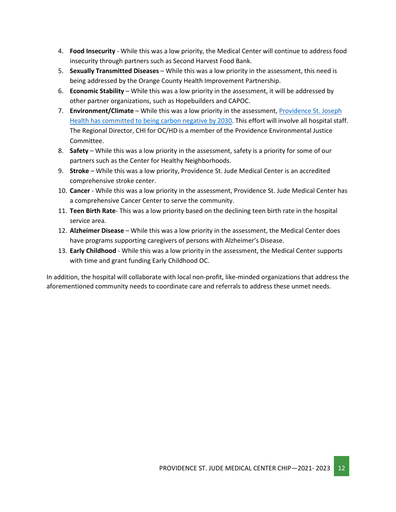- 4. **Food Insecurity** While this was a low priority, the Medical Center will continue to address food insecurity through partners such as Second Harvest Food Bank.
- 5. **Sexually Transmitted Diseases** While this was a low priority in the assessment, this need is being addressed by the Orange County Health Improvement Partnership.
- 6. **Economic Stability** While this was a low priority in the assessment, it will be addressed by other partner organizations, such as Hopebuilders and CAPOC.
- 7. **Environment/Climate** While this was a low priority in the assessment[, Providence St. Joseph](https://www.providence.org/about/community-partnerships/work-we-do/government-affairs-and-social-responsibility/environmental-stewardship/our-commitment-to-environmental-transformation)  [Health has committed to being carbon negative by 2030.](https://www.providence.org/about/community-partnerships/work-we-do/government-affairs-and-social-responsibility/environmental-stewardship/our-commitment-to-environmental-transformation) This effort will involve all hospital staff. The Regional Director, CHI for OC/HD is a member of the Providence Environmental Justice Committee.
- 8. **Safety** While this was a low priority in the assessment, safety is a priority for some of our partners such as the Center for Healthy Neighborhoods.
- 9. **Stroke** While this was a low priority, Providence St. Jude Medical Center is an accredited comprehensive stroke center.
- 10. **Cancer** While this was a low priority in the assessment, Providence St. Jude Medical Center has a comprehensive Cancer Center to serve the community.
- 11. **Teen Birth Rate** This was a low priority based on the declining teen birth rate in the hospital service area.
- 12. **Alzheimer Disease** While this was a low priority in the assessment, the Medical Center does have programs supporting caregivers of persons with Alzheimer's Disease.
- 13. **Early Childhood** While this was a low priority in the assessment, the Medical Center supports with time and grant funding Early Childhood OC.

In addition, the hospital will collaborate with local non-profit, like-minded organizations that address the aforementioned community needs to coordinate care and referrals to address these unmet needs.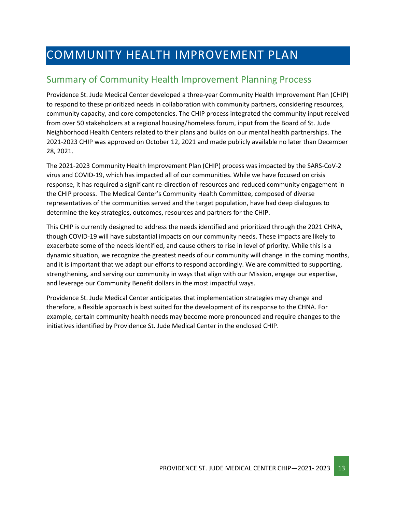# <span id="page-12-0"></span>COMMUNITY HEALTH IMPROVEMENT PLAN

## <span id="page-12-1"></span>Summary of Community Health Improvement Planning Process

Providence St. Jude Medical Center developed a three-year Community Health Improvement Plan (CHIP) to respond to these prioritized needs in collaboration with community partners, considering resources, community capacity, and core competencies. The CHIP process integrated the community input received from over 50 stakeholders at a regional housing/homeless forum, input from the Board of St. Jude Neighborhood Health Centers related to their plans and builds on our mental health partnerships. The 2021-2023 CHIP was approved on October 12, 2021 and made publicly available no later than December 28, 2021.

The 2021-2023 Community Health Improvement Plan (CHIP) process was impacted by the SARS-CoV-2 virus and COVID-19, which has impacted all of our communities. While we have focused on crisis response, it has required a significant re-direction of resources and reduced community engagement in the CHIP process. The Medical Center's Community Health Committee, composed of diverse representatives of the communities served and the target population, have had deep dialogues to determine the key strategies, outcomes, resources and partners for the CHIP.

This CHIP is currently designed to address the needs identified and prioritized through the 2021 CHNA, though COVID-19 will have substantial impacts on our community needs. These impacts are likely to exacerbate some of the needs identified, and cause others to rise in level of priority. While this is a dynamic situation, we recognize the greatest needs of our community will change in the coming months, and it is important that we adapt our efforts to respond accordingly. We are committed to supporting, strengthening, and serving our community in ways that align with our Mission, engage our expertise, and leverage our Community Benefit dollars in the most impactful ways.

Providence St. Jude Medical Center anticipates that implementation strategies may change and therefore, a flexible approach is best suited for the development of its response to the CHNA. For example, certain community health needs may become more pronounced and require changes to the initiatives identified by Providence St. Jude Medical Center in the enclosed CHIP.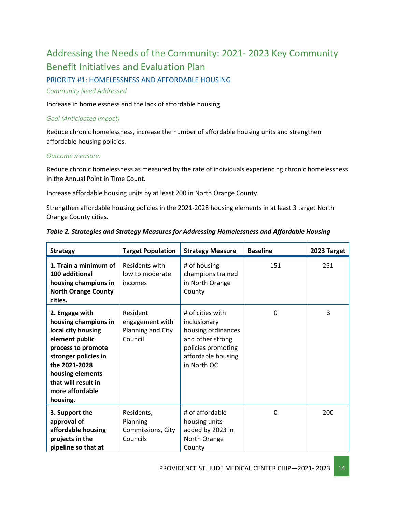# <span id="page-13-0"></span>Addressing the Needs of the Community: 2021- 2023 Key Community Benefit Initiatives and Evaluation Plan

PRIORITY #1: HOMELESSNESS AND AFFORDABLE HOUSING

#### *Community Need Addressed*

Increase in homelessness and the lack of affordable housing

#### *Goal (Anticipated Impact)*

Reduce chronic homelessness, increase the number of affordable housing units and strengthen affordable housing policies.

#### *Outcome measure:*

Reduce chronic homelessness as measured by the rate of individuals experiencing chronic homelessness in the Annual Point in Time Count.

Increase affordable housing units by at least 200 in North Orange County.

Strengthen affordable housing policies in the 2021-2028 housing elements in at least 3 target North Orange County cities.

| <b>Strategy</b>                                                                                                                                                                                                         | <b>Target Population</b>                                    | <b>Strategy Measure</b>                                                                                                               | <b>Baseline</b> | 2023 Target |
|-------------------------------------------------------------------------------------------------------------------------------------------------------------------------------------------------------------------------|-------------------------------------------------------------|---------------------------------------------------------------------------------------------------------------------------------------|-----------------|-------------|
| 1. Train a minimum of<br>100 additional<br>housing champions in<br><b>North Orange County</b><br>cities.                                                                                                                | Residents with<br>low to moderate<br>incomes                | # of housing<br>champions trained<br>in North Orange<br>County                                                                        | 151             | 251         |
| 2. Engage with<br>housing champions in<br>local city housing<br>element public<br>process to promote<br>stronger policies in<br>the 2021-2028<br>housing elements<br>that will result in<br>more affordable<br>housing. | Resident<br>engagement with<br>Planning and City<br>Council | # of cities with<br>inclusionary<br>housing ordinances<br>and other strong<br>policies promoting<br>affordable housing<br>in North OC | $\mathbf 0$     | 3           |
| 3. Support the<br>approval of<br>affordable housing<br>projects in the<br>pipeline so that at                                                                                                                           | Residents,<br>Planning<br>Commissions, City<br>Councils     | # of affordable<br>housing units<br>added by 2023 in<br>North Orange<br>County                                                        | $\Omega$        | 200         |

#### *Table 2. Strategies and Strategy Measures for Addressing Homelessness and Affordable Housing*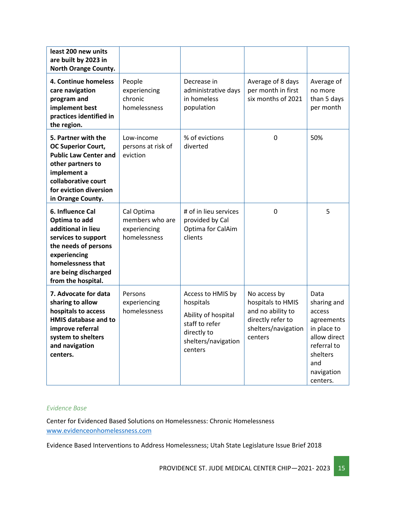| least 200 new units<br>are built by 2023 in<br>North Orange County.                                                                                                                        |                                                               |                                                                                                                          |                                                                                                               |                                                                                                                                        |
|--------------------------------------------------------------------------------------------------------------------------------------------------------------------------------------------|---------------------------------------------------------------|--------------------------------------------------------------------------------------------------------------------------|---------------------------------------------------------------------------------------------------------------|----------------------------------------------------------------------------------------------------------------------------------------|
| 4. Continue homeless<br>care navigation<br>program and<br>implement best<br>practices identified in<br>the region.                                                                         | People<br>experiencing<br>chronic<br>homelessness             | Decrease in<br>administrative days<br>in homeless<br>population                                                          | Average of 8 days<br>per month in first<br>six months of 2021                                                 | Average of<br>no more<br>than 5 days<br>per month                                                                                      |
| 5. Partner with the<br><b>OC Superior Court,</b><br><b>Public Law Center and</b><br>other partners to<br>implement a<br>collaborative court<br>for eviction diversion<br>in Orange County. | Low-income<br>persons at risk of<br>eviction                  | % of evictions<br>diverted                                                                                               | 0                                                                                                             | 50%                                                                                                                                    |
| 6. Influence Cal<br>Optima to add<br>additional in lieu<br>services to support<br>the needs of persons<br>experiencing<br>homelessness that<br>are being discharged<br>from the hospital.  | Cal Optima<br>members who are<br>experiencing<br>homelessness | # of in lieu services<br>provided by Cal<br>Optima for CalAim<br>clients                                                 | 0                                                                                                             | 5                                                                                                                                      |
| 7. Advocate for data<br>sharing to allow<br>hospitals to access<br><b>HMIS database and to</b><br>improve referral<br>system to shelters<br>and navigation<br>centers.                     | Persons<br>experiencing<br>homelessness                       | Access to HMIS by<br>hospitals<br>Ability of hospital<br>staff to refer<br>directly to<br>shelters/navigation<br>centers | No access by<br>hospitals to HMIS<br>and no ability to<br>directly refer to<br>shelters/navigation<br>centers | Data<br>sharing and<br>access<br>agreements<br>in place to<br>allow direct<br>referral to<br>shelters<br>and<br>navigation<br>centers. |

#### *Evidence Base*

Center for Evidenced Based Solutions on Homelessness: Chronic Homelessness [www.evidenceonhomelessness.com](http://www.evidenceonhomelessness.com/)

Evidence Based Interventions to Address Homelessness; Utah State Legislature Issue Brief 2018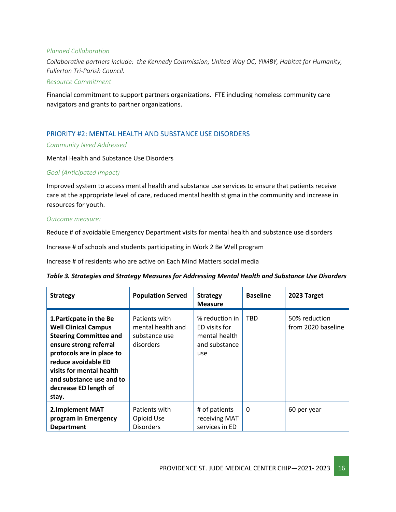#### *Planned Collaboration*

*Collaborative partners include: the Kennedy Commission; United Way OC; YIMBY, Habitat for Humanity, Fullerton Tri-Parish Council.*

#### *Resource Commitment*

Financial commitment to support partners organizations. FTE including homeless community care navigators and grants to partner organizations.

#### PRIORITY #2: MENTAL HEALTH AND SUBSTANCE USE DISORDERS

#### *Community Need Addressed*

Mental Health and Substance Use Disorders

#### *Goal (Anticipated Impact)*

Improved system to access mental health and substance use services to ensure that patients receive care at the appropriate level of care, reduced mental health stigma in the community and increase in resources for youth.

#### *Outcome measure:*

Reduce # of avoidable Emergency Department visits for mental health and substance use disorders

Increase # of schools and students participating in Work 2 Be Well program

Increase # of residents who are active on Each Mind Matters social media

|  |  |  |  |  | Table 3. Strategies and Strategy Measures for Addressing Mental Health and Substance Use Disorders |  |
|--|--|--|--|--|----------------------------------------------------------------------------------------------------|--|
|--|--|--|--|--|----------------------------------------------------------------------------------------------------|--|

| <b>Strategy</b>                                                                                                                                                                                                                                                 | <b>Population Served</b>                                         | <b>Strategy</b><br><b>Measure</b>                                        | <b>Baseline</b> | 2023 Target                         |
|-----------------------------------------------------------------------------------------------------------------------------------------------------------------------------------------------------------------------------------------------------------------|------------------------------------------------------------------|--------------------------------------------------------------------------|-----------------|-------------------------------------|
| 1. Particpate in the Be<br><b>Well Clinical Campus</b><br><b>Steering Committee and</b><br>ensure strong referral<br>protocols are in place to<br>reduce avoidable ED<br>visits for mental health<br>and substance use and to<br>decrease ED length of<br>stay. | Patients with<br>mental health and<br>substance use<br>disorders | % reduction in<br>ED visits for<br>mental health<br>and substance<br>use | TBD             | 50% reduction<br>from 2020 baseline |
| <b>2.Implement MAT</b>                                                                                                                                                                                                                                          | Patients with                                                    | # of patients                                                            | 0               | 60 per year                         |
| program in Emergency                                                                                                                                                                                                                                            | Opioid Use                                                       | receiving MAT                                                            |                 |                                     |
| <b>Department</b>                                                                                                                                                                                                                                               | <b>Disorders</b>                                                 | services in ED                                                           |                 |                                     |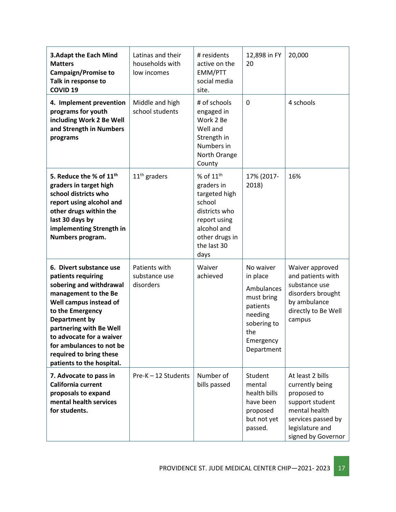| <b>3.Adapt the Each Mind</b><br><b>Matters</b><br><b>Campaign/Promise to</b><br>Talk in response to<br><b>COVID 19</b>                                                                                                                                                                                     | Latinas and their<br>households with<br>low incomes | # residents<br>active on the<br>EMM/PTT<br>social media<br>site.                                                                              | 12,898 in FY<br>20                                                                                                        | 20,000                                                                                                                                                |
|------------------------------------------------------------------------------------------------------------------------------------------------------------------------------------------------------------------------------------------------------------------------------------------------------------|-----------------------------------------------------|-----------------------------------------------------------------------------------------------------------------------------------------------|---------------------------------------------------------------------------------------------------------------------------|-------------------------------------------------------------------------------------------------------------------------------------------------------|
| 4. Implement prevention<br>programs for youth<br>including Work 2 Be Well<br>and Strength in Numbers<br>programs                                                                                                                                                                                           | Middle and high<br>school students                  | # of schools<br>engaged in<br>Work 2 Be<br>Well and<br>Strength in<br>Numbers in<br>North Orange<br>County                                    | $\Omega$                                                                                                                  | 4 schools                                                                                                                                             |
| 5. Reduce the % of 11 <sup>th</sup><br>graders in target high<br>school districts who<br>report using alcohol and<br>other drugs within the<br>last 30 days by<br>implementing Strength in<br>Numbers program.                                                                                             | $11th$ graders                                      | % of $11th$<br>graders in<br>targeted high<br>school<br>districts who<br>report using<br>alcohol and<br>other drugs in<br>the last 30<br>days | 17% (2017-<br>2018)                                                                                                       | 16%                                                                                                                                                   |
| 6. Divert substance use<br>patients requiring<br>sobering and withdrawal<br>management to the Be<br>Well campus instead of<br>to the Emergency<br>Department by<br>partnering with Be Well<br>to advocate for a waiver<br>for ambulances to not be<br>required to bring these<br>patients to the hospital. | Patients with<br>substance use<br>disorders         | Waiver<br>achieved                                                                                                                            | No waiver<br>in place<br>Ambulances<br>must bring<br>patients<br>needing<br>sobering to<br>the<br>Emergency<br>Department | Waiver approved<br>and patients with<br>substance use<br>disorders brought<br>by ambulance<br>directly to Be Well<br>campus                           |
| 7. Advocate to pass in<br>California current<br>proposals to expand<br>mental health services<br>for students.                                                                                                                                                                                             | Pre-K - 12 Students                                 | Number of<br>bills passed                                                                                                                     | Student<br>mental<br>health bills<br>have been<br>proposed<br>but not yet<br>passed.                                      | At least 2 bills<br>currently being<br>proposed to<br>support student<br>mental health<br>services passed by<br>legislature and<br>signed by Governor |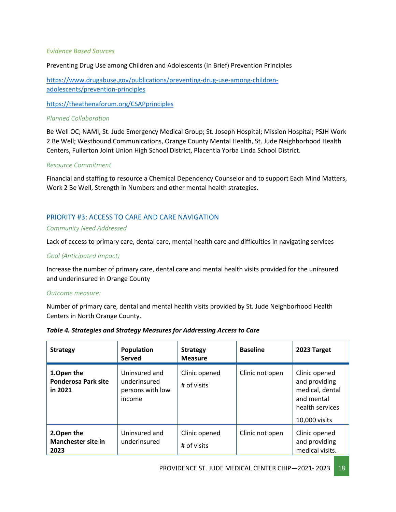#### *Evidence Based Sources*

Preventing Drug Use among Children and Adolescents (In Brief) Prevention Principles

[https://www.drugabuse.gov/publications/preventing-drug-use-among-children](https://www.drugabuse.gov/publications/preventing-drug-use-among-children-adolescents/prevention-principles)[adolescents/prevention-principles](https://www.drugabuse.gov/publications/preventing-drug-use-among-children-adolescents/prevention-principles)

<https://theathenaforum.org/CSAPprinciples>

#### *Planned Collaboration*

Be Well OC; NAMI, St. Jude Emergency Medical Group; St. Joseph Hospital; Mission Hospital; PSJH Work 2 Be Well; Westbound Communications, Orange County Mental Health, St. Jude Neighborhood Health Centers, Fullerton Joint Union High School District, Placentia Yorba Linda School District.

#### *Resource Commitment*

Financial and staffing to resource a Chemical Dependency Counselor and to support Each Mind Matters, Work 2 Be Well, Strength in Numbers and other mental health strategies.

#### PRIORITY #3: ACCESS TO CARE AND CARE NAVIGATION

#### *Community Need Addressed*

Lack of access to primary care, dental care, mental health care and difficulties in navigating services

#### *Goal (Anticipated Impact)*

Increase the number of primary care, dental care and mental health visits provided for the uninsured and underinsured in Orange County

#### *Outcome measure:*

Number of primary care, dental and mental health visits provided by St. Jude Neighborhood Health Centers in North Orange County.

| <b>Strategy</b>                                     | Population<br>Served                                        | <b>Strategy</b><br><b>Measure</b> | <b>Baseline</b> | 2023 Target                                                                                         |
|-----------------------------------------------------|-------------------------------------------------------------|-----------------------------------|-----------------|-----------------------------------------------------------------------------------------------------|
| 1.Open the<br><b>Ponderosa Park site</b><br>in 2021 | Uninsured and<br>underinsured<br>persons with low<br>income | Clinic opened<br># of visits      | Clinic not open | Clinic opened<br>and providing<br>medical, dental<br>and mental<br>health services<br>10,000 visits |
| 2. Open the<br><b>Manchester site in</b><br>2023    | Uninsured and<br>underinsured                               | Clinic opened<br># of visits      | Clinic not open | Clinic opened<br>and providing<br>medical visits.                                                   |

#### *Table 4. Strategies and Strategy Measures for Addressing Access to Care*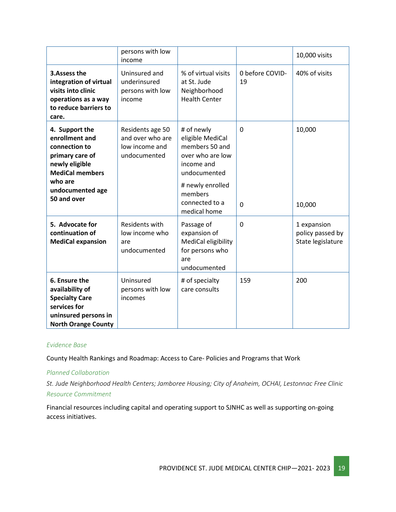|                                                                                                                                                                | persons with low<br>income                                             |                                                                                                                                                                     |                            | 10,000 visits                                        |
|----------------------------------------------------------------------------------------------------------------------------------------------------------------|------------------------------------------------------------------------|---------------------------------------------------------------------------------------------------------------------------------------------------------------------|----------------------------|------------------------------------------------------|
| 3. Assess the<br>integration of virtual<br>visits into clinic<br>operations as a way<br>to reduce barriers to<br>care.                                         | Uninsured and<br>underinsured<br>persons with low<br>income            | % of virtual visits<br>at St. Jude<br>Neighborhood<br><b>Health Center</b>                                                                                          | 0 before COVID-<br>19      | 40% of visits                                        |
| 4. Support the<br>enrollment and<br>connection to<br>primary care of<br>newly eligible<br><b>MediCal members</b><br>who are<br>undocumented age<br>50 and over | Residents age 50<br>and over who are<br>low income and<br>undocumented | # of newly<br>eligible MediCal<br>members 50 and<br>over who are low<br>income and<br>undocumented<br># newly enrolled<br>members<br>connected to a<br>medical home | $\mathbf 0$<br>$\mathbf 0$ | 10,000<br>10,000                                     |
| 5. Advocate for<br>continuation of<br><b>MediCal expansion</b>                                                                                                 | Residents with<br>low income who<br>are<br>undocumented                | Passage of<br>expansion of<br>MediCal eligibility<br>for persons who<br>are<br>undocumented                                                                         | 0                          | 1 expansion<br>policy passed by<br>State legislature |
| 6. Ensure the<br>availability of<br><b>Specialty Care</b><br>services for<br>uninsured persons in<br><b>North Orange County</b>                                | Uninsured<br>persons with low<br>incomes                               | # of specialty<br>care consults                                                                                                                                     | 159                        | 200                                                  |

#### *Evidence Base*

County Health Rankings and Roadmap: Access to Care- Policies and Programs that Work

#### *Planned Collaboration*

*St. Jude Neighborhood Health Centers; Jamboree Housing; City of Anaheim, OCHAI, Lestonnac Free Clinic Resource Commitment*

Financial resources including capital and operating support to SJNHC as well as supporting on-going access initiatives.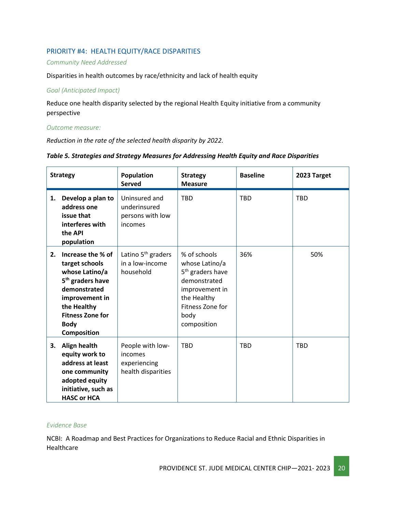#### PRIORITY #4: HEALTH EQUITY/RACE DISPARITIES

#### *Community Need Addressed*

Disparities in health outcomes by race/ethnicity and lack of health equity

#### *Goal (Anticipated Impact)*

Reduce one health disparity selected by the regional Health Equity initiative from a community perspective

*Outcome measure:*

*Reduction in the rate of the selected health disparity by 2022.*

| <b>Strategy</b> |                                                                                                                                                                                                        | Population<br><b>Served</b>                                       | <b>Strategy</b><br><b>Measure</b>                                                                                                                          | <b>Baseline</b> | 2023 Target |
|-----------------|--------------------------------------------------------------------------------------------------------------------------------------------------------------------------------------------------------|-------------------------------------------------------------------|------------------------------------------------------------------------------------------------------------------------------------------------------------|-----------------|-------------|
| 1.              | Develop a plan to<br>address one<br>issue that<br>interferes with<br>the API<br>population                                                                                                             | Uninsured and<br>underinsured<br>persons with low<br>incomes      | <b>TBD</b>                                                                                                                                                 | <b>TBD</b>      | <b>TBD</b>  |
| 2.              | Increase the % of<br>target schools<br>whose Latino/a<br>5 <sup>th</sup> graders have<br>demonstrated<br>improvement in<br>the Healthy<br><b>Fitness Zone for</b><br><b>Body</b><br><b>Composition</b> | Latino 5 <sup>th</sup> graders<br>in a low-income<br>household    | % of schools<br>whose Latino/a<br>5 <sup>th</sup> graders have<br>demonstrated<br>improvement in<br>the Healthy<br>Fitness Zone for<br>body<br>composition | 36%             | 50%         |
| 3.              | Align health<br>equity work to<br>address at least<br>one community<br>adopted equity<br>initiative, such as<br><b>HASC or HCA</b>                                                                     | People with low-<br>incomes<br>experiencing<br>health disparities | <b>TBD</b>                                                                                                                                                 | <b>TBD</b>      | <b>TBD</b>  |

#### *Table 5. Strategies and Strategy Measures for Addressing Health Equity and Race Disparities*

#### *Evidence Base*

NCBI: A Roadmap and Best Practices for Organizations to Reduce Racial and Ethnic Disparities in Healthcare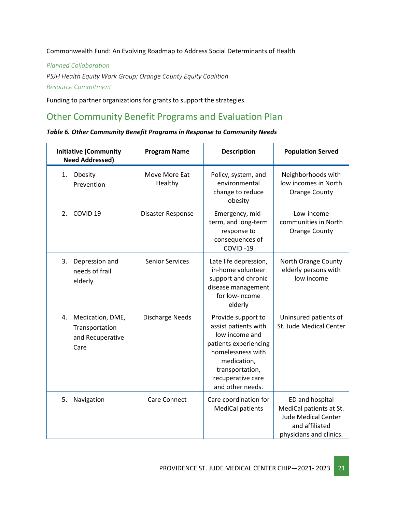Commonwealth Fund: An Evolving Roadmap to Address Social Determinants of Health

*Planned Collaboration*

*PSJH Health Equity Work Group; Orange County Equity Coalition Resource Commitment*

Funding to partner organizations for grants to support the strategies.

## <span id="page-20-0"></span>Other Community Benefit Programs and Evaluation Plan

|  |  |  |  | Table 6. Other Community Benefit Programs in Response to Community Needs |
|--|--|--|--|--------------------------------------------------------------------------|
|--|--|--|--|--------------------------------------------------------------------------|

| <b>Initiative (Community</b><br><b>Need Addressed)</b>               | <b>Program Name</b>      | <b>Description</b>                                                                                                                                                                    | <b>Population Served</b>                                                                                              |
|----------------------------------------------------------------------|--------------------------|---------------------------------------------------------------------------------------------------------------------------------------------------------------------------------------|-----------------------------------------------------------------------------------------------------------------------|
| Obesity<br>1.<br>Prevention                                          | Move More Eat<br>Healthy | Policy, system, and<br>environmental<br>change to reduce<br>obesity                                                                                                                   | Neighborhoods with<br>low incomes in North<br><b>Orange County</b>                                                    |
| COVID <sub>19</sub><br>2.                                            | Disaster Response        | Emergency, mid-<br>term, and long-term<br>response to<br>consequences of<br>COVID-19                                                                                                  | Low-income<br>communities in North<br><b>Orange County</b>                                                            |
| 3.<br>Depression and<br>needs of frail<br>elderly                    | <b>Senior Services</b>   | Late life depression,<br>in-home volunteer<br>support and chronic<br>disease management<br>for low-income<br>elderly                                                                  | North Orange County<br>elderly persons with<br>low income                                                             |
| Medication, DME,<br>4.<br>Transportation<br>and Recuperative<br>Care | <b>Discharge Needs</b>   | Provide support to<br>assist patients with<br>low income and<br>patients experiencing<br>homelessness with<br>medication,<br>transportation,<br>recuperative care<br>and other needs. | Uninsured patients of<br>St. Jude Medical Center                                                                      |
| 5.<br>Navigation                                                     | Care Connect             | Care coordination for<br><b>MediCal patients</b>                                                                                                                                      | ED and hospital<br>MediCal patients at St.<br><b>Jude Medical Center</b><br>and affiliated<br>physicians and clinics. |